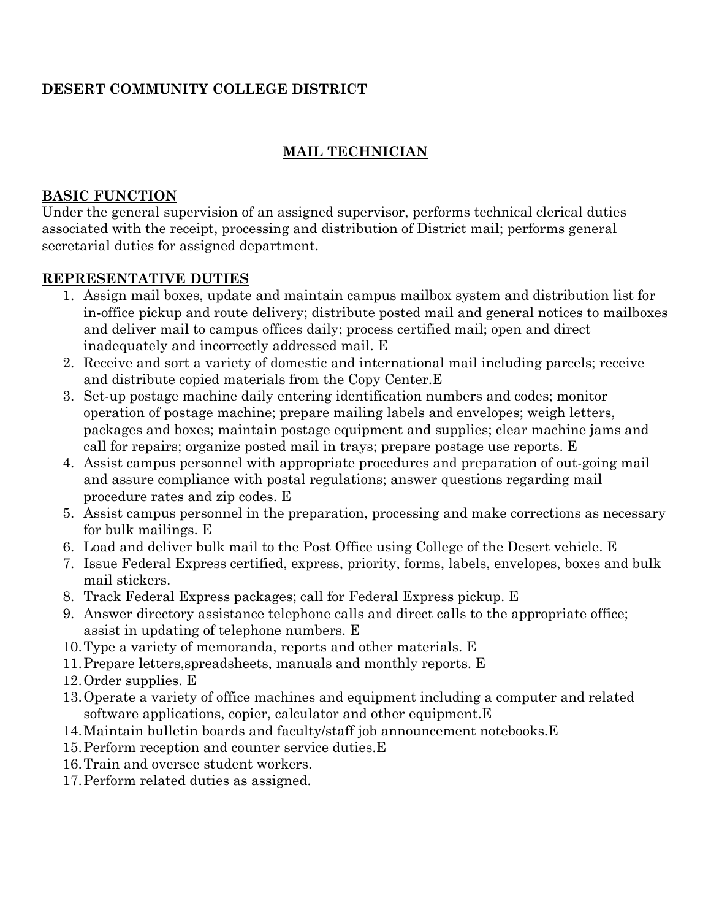# **DESERT COMMUNITY COLLEGE DISTRICT**

## **MAIL TECHNICIAN**

#### **BASIC FUNCTION**

Under the general supervision of an assigned supervisor, performs technical clerical duties associated with the receipt, processing and distribution of District mail; performs general secretarial duties for assigned department.

### **REPRESENTATIVE DUTIES**

- 1. Assign mail boxes, update and maintain campus mailbox system and distribution list for in-office pickup and route delivery; distribute posted mail and general notices to mailboxes and deliver mail to campus offices daily; process certified mail; open and direct inadequately and incorrectly addressed mail. E
- 2. Receive and sort a variety of domestic and international mail including parcels; receive and distribute copied materials from the Copy Center.E
- 3. Set-up postage machine daily entering identification numbers and codes; monitor operation of postage machine; prepare mailing labels and envelopes; weigh letters, packages and boxes; maintain postage equipment and supplies; clear machine jams and call for repairs; organize posted mail in trays; prepare postage use reports. E
- 4. Assist campus personnel with appropriate procedures and preparation of out-going mail and assure compliance with postal regulations; answer questions regarding mail procedure rates and zip codes. E
- 5. Assist campus personnel in the preparation, processing and make corrections as necessary for bulk mailings. E
- 6. Load and deliver bulk mail to the Post Office using College of the Desert vehicle. E
- 7. Issue Federal Express certified, express, priority, forms, labels, envelopes, boxes and bulk mail stickers.
- 8. Track Federal Express packages; call for Federal Express pickup. E
- 9. Answer directory assistance telephone calls and direct calls to the appropriate office; assist in updating of telephone numbers. E
- 10.Type a variety of memoranda, reports and other materials. E
- 11.Prepare letters,spreadsheets, manuals and monthly reports. E
- 12.Order supplies. E
- 13.Operate a variety of office machines and equipment including a computer and related software applications, copier, calculator and other equipment.E
- 14.Maintain bulletin boards and faculty/staff job announcement notebooks.E
- 15.Perform reception and counter service duties.E
- 16.Train and oversee student workers.
- 17.Perform related duties as assigned.